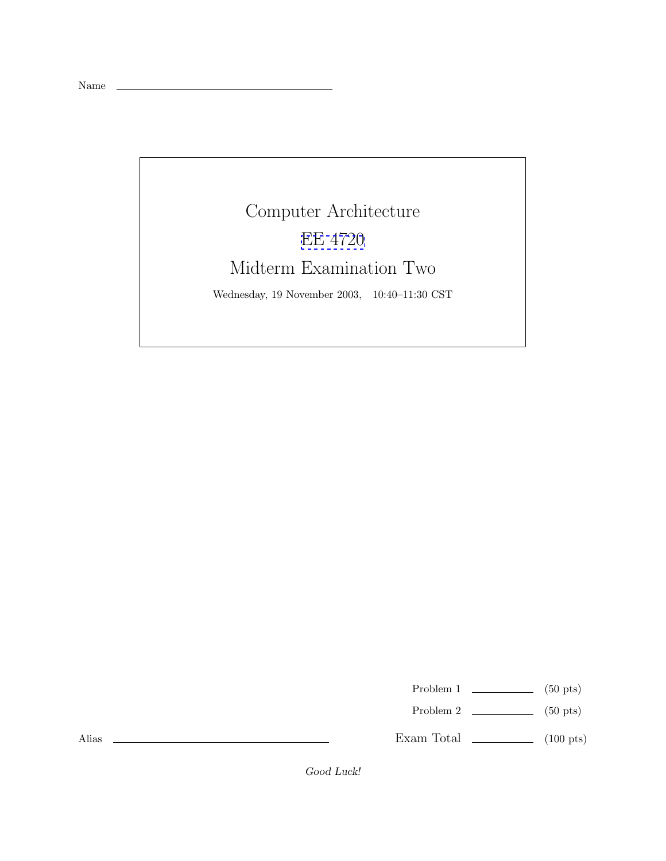

Problem 1  $\qquad \qquad$  (50 pts)

Problem 2  $\qquad \qquad$  (50 pts)

Exam Total \_\_\_\_\_\_\_\_\_\_\_\_\_ (100 pts)

Alias

Good Luck!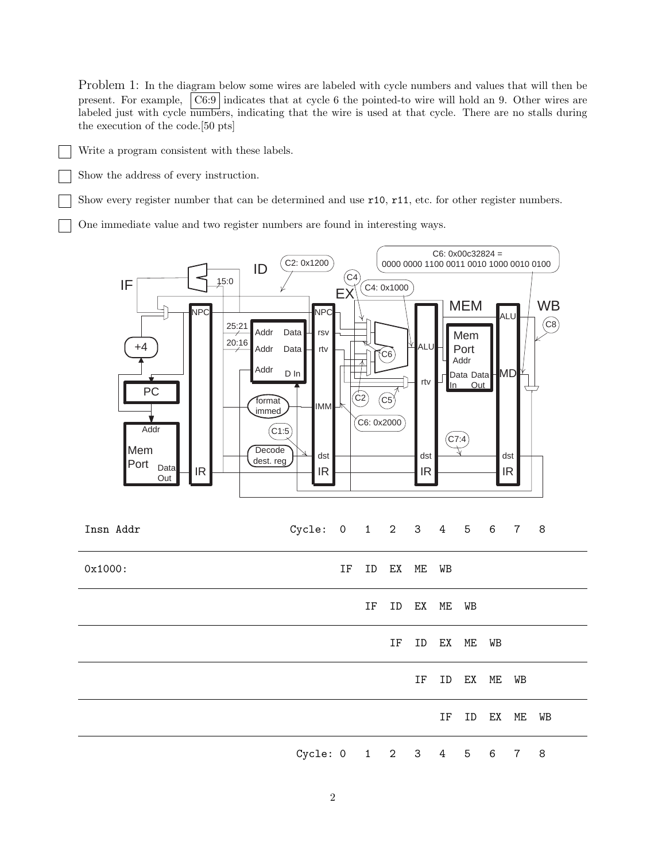Problem 1: In the diagram below some wires are labeled with cycle numbers and values that will then be present. For example, C6:9 indicates that at cycle 6 the pointed-to wire will hold an 9. Other wires are labeled just with cycle numbers, indicating that the wire is used at that cycle. There are no stalls during the execution of the code.[50 pts]

Write a program consistent with these labels.

Show the address of every instruction.

Show every register number that can be determined and use r10, r11, etc. for other register numbers.

One immediate value and two register numbers are found in interesting ways.



IF ID EX ME WB

Cycle: 0 1 2 3 4 5 6 7 8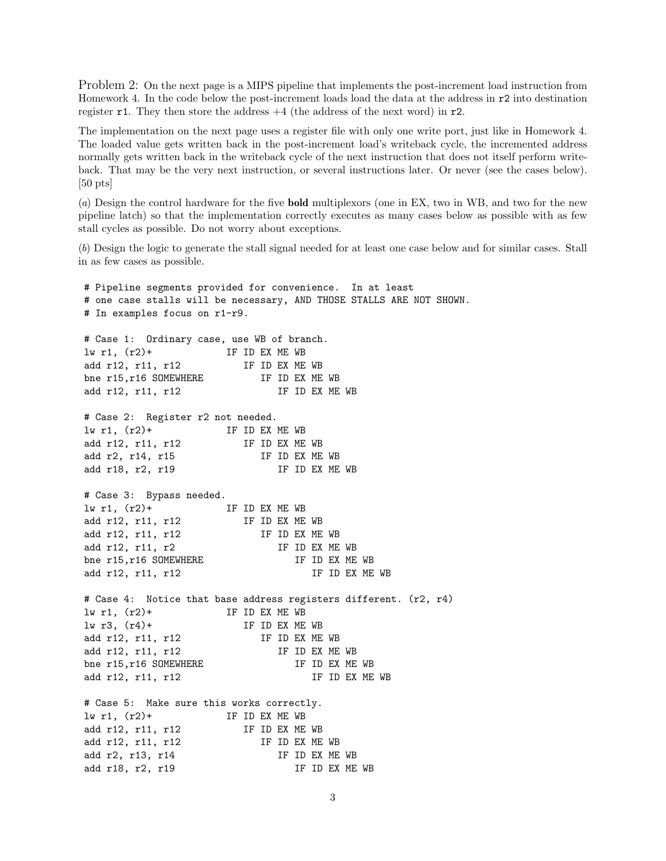Problem 2: On the next page is a MIPS pipeline that implements the post-increment load instruction from Homework 4. In the code below the post-increment loads load the data at the address in r2 into destination register r1. They then store the address  $+4$  (the address of the next word) in r2.

The implementation on the next page uses a register file with only one write port, just like in Homework 4. The loaded value gets written back in the post-increment load's writeback cycle, the incremented address normally gets written back in the writeback cycle of the next instruction that does not itself perform writeback. That may be the very next instruction, or several instructions later. Or never (see the cases below). [50 pts]

(a) Design the control hardware for the five **bold** multiplexors (one in EX, two in WB, and two for the new pipeline latch) so that the implementation correctly executes as many cases below as possible with as few stall cycles as possible. Do not worry about exceptions.

(b) Design the logic to generate the stall signal needed for at least one case below and for similar cases. Stall in as few cases as possible.

# Pipeline segments provided for convenience. In at least # one case stalls will be necessary, AND THOSE STALLS ARE NOT SHOWN. # In examples focus on r1-r9. # Case 1: Ordinary case, use WB of branch. lw r1, (r2)+ IF ID EX ME WB add r12, r11, r12 IF ID EX ME WB bne r15, r16 SOMEWHERE IF ID EX ME WB add r12, r11, r12 IF ID EX ME WB # Case 2: Register r2 not needed.  $\ln r1$ ,  $(r2)$ + IF ID EX ME WB add r12, r11, r12 IF ID EX ME WB add r2, r14, r15 IF ID EX ME WB add r18, r2, r19 IF ID EX ME WB # Case 3: Bypass needed.  $\ln r1$ ,  $(r2)$ + IF ID EX ME WB add r12, r11, r12 IF ID EX ME WB add r12, r11, r12 IF ID EX ME WB add r12, r11, r2 <br>IF ID EX ME WB bne r15, r16 SOMEWHERE IF ID EX ME WB add r12, r11, r12 IF ID EX ME WB # Case 4: Notice that base address registers different. (r2, r4)  $\ln r1$ ,  $(r2)$ + IF ID EX ME WB  $\frac{1}{w}$  r3,  $\frac{r4}{+}$  IF ID EX ME WB add r12, r11, r12 IF ID EX ME WB add r12, r11, r12 IF ID EX ME WB bne r15, r16 SOMEWHERE IF ID EX ME WB add r12, r11, r12 IF ID EX ME WB # Case 5: Make sure this works correctly.  $\frac{1}{w}$  r1,  $\frac{r2}{+}$  IF ID EX ME WB add r12, r11, r12 IF ID EX ME WB add r12, r11, r12 IF ID EX ME WB add r2, r13, r14 IF ID EX ME WB add r18, r2, r19 IF ID EX ME WB